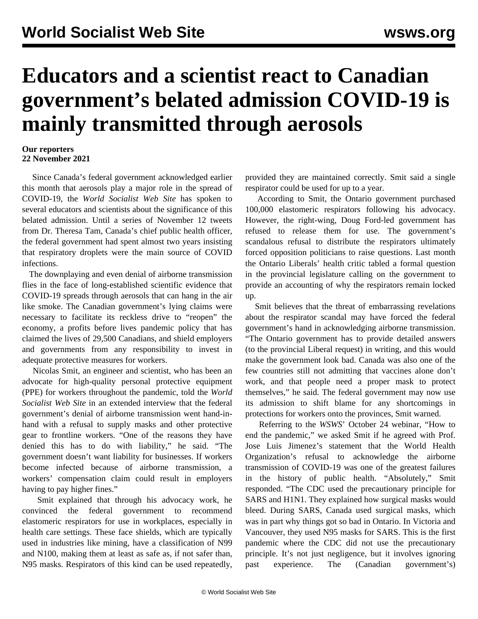## **Educators and a scientist react to Canadian government's belated admission COVID-19 is mainly transmitted through aerosols**

## **Our reporters 22 November 2021**

 Since [Canada's federal government acknowledged](/en/articles/2021/11/17/caae-n17.html) earlier this month that aerosols play a major role in the spread of COVID-19, the *World Socialist Web Site* has spoken to several educators and scientists about the significance of this belated admission. Until a series of November 12 tweets from Dr. Theresa Tam, Canada's chief public health officer, the federal government had spent almost two years insisting that respiratory droplets were the main source of COVID infections.

 The downplaying and even denial of airborne transmission flies in the face of long-established scientific evidence that COVID-19 spreads through aerosols that can hang in the air like smoke. The Canadian government's lying claims were necessary to facilitate its reckless drive to "reopen" the economy, a profits before lives pandemic policy that has claimed the lives of 29,500 Canadians, and shield employers and governments from any responsibility to invest in adequate protective measures for workers.

 Nicolas Smit, an engineer and scientist, who has been an advocate for high-quality personal protective equipment (PPE) for workers throughout the pandemic, told the *World Socialist Web Site* in an extended interview that the federal government's denial of airborne transmission went hand-inhand with a refusal to supply masks and other protective gear to frontline workers. "One of the reasons they have denied this has to do with liability," he said. "The government doesn't want liability for businesses. If workers become infected because of airborne transmission, a workers' compensation claim could result in employers having to pay higher fines."

 Smit explained that through his advocacy work, he convinced the federal government to recommend elastomeric respirators for use in workplaces, especially in health care settings. These face shields, which are typically used in industries like mining, have a classification of N99 and N100, making them at least as safe as, if not safer than, N95 masks. Respirators of this kind can be used repeatedly, provided they are maintained correctly. Smit said a single respirator could be used for up to a year.

 According to Smit, the Ontario government purchased 100,000 elastomeric respirators following his advocacy. However, the right-wing, Doug Ford-led government has refused to release them for use. The government's scandalous refusal to distribute the respirators ultimately forced opposition politicians to raise questions. Last month the Ontario Liberals' health critic tabled a formal question in the provincial legislature calling on the government to provide an accounting of why the respirators remain locked up.

 Smit believes that the threat of embarrassing revelations about the respirator scandal may have forced the federal government's hand in acknowledging airborne transmission. "The Ontario government has to provide detailed answers (to the provincial Liberal request) in writing, and this would make the government look bad. Canada was also one of the few countries still not admitting that vaccines alone don't work, and that people need a proper mask to protect themselves," he said. The federal government may now use its admission to shift blame for any shortcomings in protections for workers onto the provinces, Smit warned.

 Referring to the *WSWS*' October 24 webinar, "How to end the pandemic," we asked Smit if he agreed with Prof. Jose Luis Jimenez's statement that the World Health Organization's refusal to acknowledge the airborne transmission of COVID-19 was one of the greatest failures in the history of public health. "Absolutely," Smit responded. "The CDC used the precautionary principle for SARS and H1N1. They explained how surgical masks would bleed. During SARS, Canada used surgical masks, which was in part why things got so bad in Ontario. In Victoria and Vancouver, they used N95 masks for SARS. This is the first pandemic where the CDC did not use the precautionary principle. It's not just negligence, but it involves ignoring past experience. The (Canadian government's)